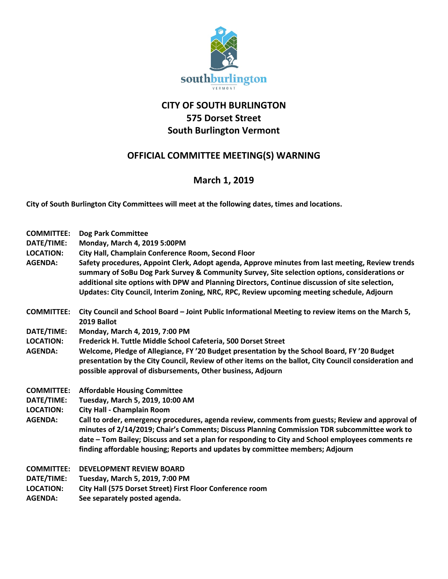

## **CITY OF SOUTH BURLINGTON 575 Dorset Street South Burlington Vermont**

## **OFFICIAL COMMITTEE MEETING(S) WARNING**

## **March 1, 2019**

**City of South Burlington City Committees will meet at the following dates, times and locations.** 

| <b>COMMITTEE:</b><br>DATE/TIME:<br><b>LOCATION:</b><br><b>AGENDA:</b> | <b>Dog Park Committee</b><br>Monday, March 4, 2019 5:00PM<br>City Hall, Champlain Conference Room, Second Floor<br>Safety procedures, Appoint Clerk, Adopt agenda, Approve minutes from last meeting, Review trends<br>summary of SoBu Dog Park Survey & Community Survey, Site selection options, considerations or<br>additional site options with DPW and Planning Directors, Continue discussion of site selection,<br>Updates: City Council, Interim Zoning, NRC, RPC, Review upcoming meeting schedule, Adjourn |
|-----------------------------------------------------------------------|-----------------------------------------------------------------------------------------------------------------------------------------------------------------------------------------------------------------------------------------------------------------------------------------------------------------------------------------------------------------------------------------------------------------------------------------------------------------------------------------------------------------------|
| <b>COMMITTEE:</b>                                                     | City Council and School Board - Joint Public Informational Meeting to review items on the March 5,<br>2019 Ballot                                                                                                                                                                                                                                                                                                                                                                                                     |
| DATE/TIME:                                                            | Monday, March 4, 2019, 7:00 PM                                                                                                                                                                                                                                                                                                                                                                                                                                                                                        |
| <b>LOCATION:</b>                                                      | Frederick H. Tuttle Middle School Cafeteria, 500 Dorset Street                                                                                                                                                                                                                                                                                                                                                                                                                                                        |
| <b>AGENDA:</b>                                                        | Welcome, Pledge of Allegiance, FY '20 Budget presentation by the School Board, FY '20 Budget                                                                                                                                                                                                                                                                                                                                                                                                                          |
|                                                                       | presentation by the City Council, Review of other items on the ballot, City Council consideration and<br>possible approval of disbursements, Other business, Adjourn                                                                                                                                                                                                                                                                                                                                                  |
| <b>COMMITTEE:</b>                                                     | <b>Affordable Housing Committee</b>                                                                                                                                                                                                                                                                                                                                                                                                                                                                                   |
| DATE/TIME:                                                            | Tuesday, March 5, 2019, 10:00 AM                                                                                                                                                                                                                                                                                                                                                                                                                                                                                      |
| <b>LOCATION:</b>                                                      | <b>City Hall - Champlain Room</b>                                                                                                                                                                                                                                                                                                                                                                                                                                                                                     |
| <b>AGENDA:</b>                                                        | Call to order, emergency procedures, agenda review, comments from guests; Review and approval of<br>minutes of 2/14/2019; Chair's Comments; Discuss Planning Commission TDR subcommittee work to<br>date - Tom Bailey; Discuss and set a plan for responding to City and School employees comments re<br>finding affordable housing; Reports and updates by committee members; Adjourn                                                                                                                                |
| <b>COMMITTEE:</b>                                                     | <b>DEVELOPMENT REVIEW BOARD</b>                                                                                                                                                                                                                                                                                                                                                                                                                                                                                       |
| DATE/TIME:                                                            | Tuesday, March 5, 2019, 7:00 PM                                                                                                                                                                                                                                                                                                                                                                                                                                                                                       |
| <b>LOCATION:</b>                                                      | City Hall (575 Dorset Street) First Floor Conference room                                                                                                                                                                                                                                                                                                                                                                                                                                                             |
| <b>AGENDA:</b>                                                        | See separately posted agenda.                                                                                                                                                                                                                                                                                                                                                                                                                                                                                         |